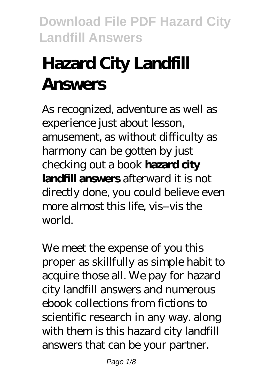# **Hazard City Landfill Answers**

As recognized, adventure as well as experience just about lesson, amusement, as without difficulty as harmony can be gotten by just checking out a book **hazard city landfill answers** afterward it is not directly done, you could believe even more almost this life, vis--vis the world.

We meet the expense of you this proper as skillfully as simple habit to acquire those all. We pay for hazard city landfill answers and numerous ebook collections from fictions to scientific research in any way. along with them is this hazard city landfill answers that can be your partner.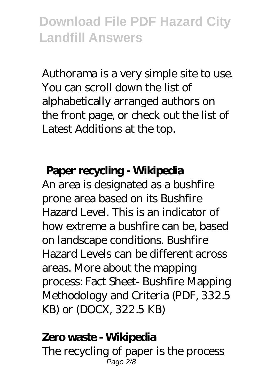Authorama is a very simple site to use. You can scroll down the list of alphabetically arranged authors on the front page, or check out the list of Latest Additions at the top.

#### **Paper recycling - Wikipedia**

An area is designated as a bushfire prone area based on its Bushfire Hazard Level. This is an indicator of how extreme a bushfire can be, based on landscape conditions. Bushfire Hazard Levels can be different across areas. More about the mapping process: Fact Sheet- Bushfire Mapping Methodology and Criteria (PDF, 332.5 KB) or (DOCX, 322.5 KB)

#### **Zero waste - Wikipedia**

The recycling of paper is the process Page 2/8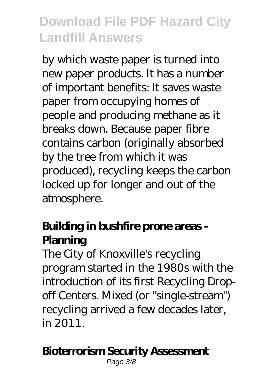by which waste paper is turned into new paper products. It has a number of important benefits: It saves waste paper from occupying homes of people and producing methane as it breaks down. Because paper fibre contains carbon (originally absorbed by the tree from which it was produced), recycling keeps the carbon locked up for longer and out of the atmosphere.

### **Building in bushfire prone areas - Planning**

The City of Knoxville's recycling program started in the 1980s with the introduction of its first Recycling Dropoff Centers. Mixed (or "single-stream") recycling arrived a few decades later, in 2011.

### **Bioterrorism Security Assessment**

Page 3/8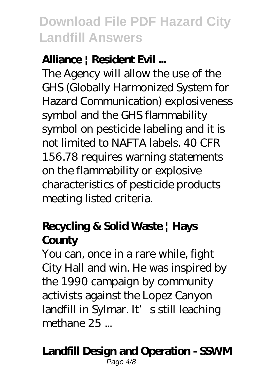### **Alliance | Resident Evil ...**

The Agency will allow the use of the GHS (Globally Harmonized System for Hazard Communication) explosiveness symbol and the GHS flammability symbol on pesticide labeling and it is not limited to NAFTA labels. 40 CFR 156.78 requires warning statements on the flammability or explosive characteristics of pesticide products meeting listed criteria.

### **Recycling & Solid Waste | Hays County**

You can, once in a rare while, fight City Hall and win. He was inspired by the 1990 campaign by community activists against the Lopez Canyon landfill in Sylmar. It's still leaching methane 25 ...

#### **Landfill Design and Operation - SSWM** Page 4/8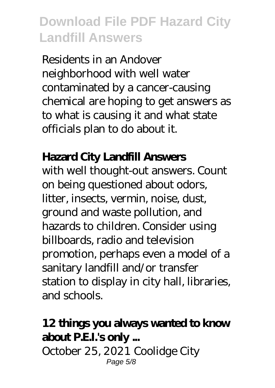Residents in an Andover neighborhood with well water contaminated by a cancer-causing chemical are hoping to get answers as to what is causing it and what state officials plan to do about it.

### **Hazard City Landfill Answers**

with well thought-out answers. Count on being questioned about odors, litter, insects, vermin, noise, dust, ground and waste pollution, and hazards to children. Consider using billboards, radio and television promotion, perhaps even a model of a sanitary landfill and/or transfer station to display in city hall, libraries, and schools.

#### **12 things you always wanted to know about P.E.I.'s only ...**

October 25, 2021 Coolidge City Page 5/8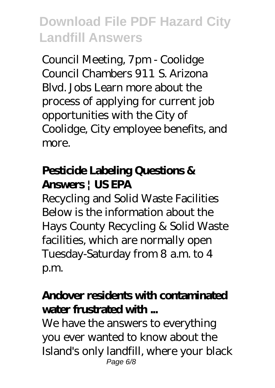Council Meeting, 7pm - Coolidge Council Chambers 911 S. Arizona Blvd. Jobs Learn more about the process of applying for current job opportunities with the City of Coolidge, City employee benefits, and more.

### **Pesticide Labeling Questions & Answers | US EPA**

Recycling and Solid Waste Facilities Below is the information about the Hays County Recycling & Solid Waste facilities, which are normally open Tuesday-Saturday from 8 a.m. to 4 p.m.

### **Andover residents with contaminated water frustrated with ...**

We have the answers to everything you ever wanted to know about the Island's only landfill, where your black Page 6/8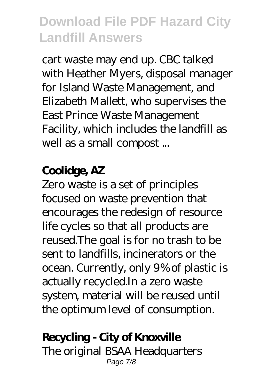cart waste may end up. CBC talked with Heather Myers, disposal manager for Island Waste Management, and Elizabeth Mallett, who supervises the East Prince Waste Management Facility, which includes the landfill as well as a small compost ...

### **Coolidge, AZ**

Zero waste is a set of principles focused on waste prevention that encourages the redesign of resource life cycles so that all products are reused.The goal is for no trash to be sent to landfills, incinerators or the ocean. Currently, only 9% of plastic is actually recycled.In a zero waste system, material will be reused until the optimum level of consumption.

### **Recycling - City of Knoxville**

The original BSAA Headquarters Page 7/8